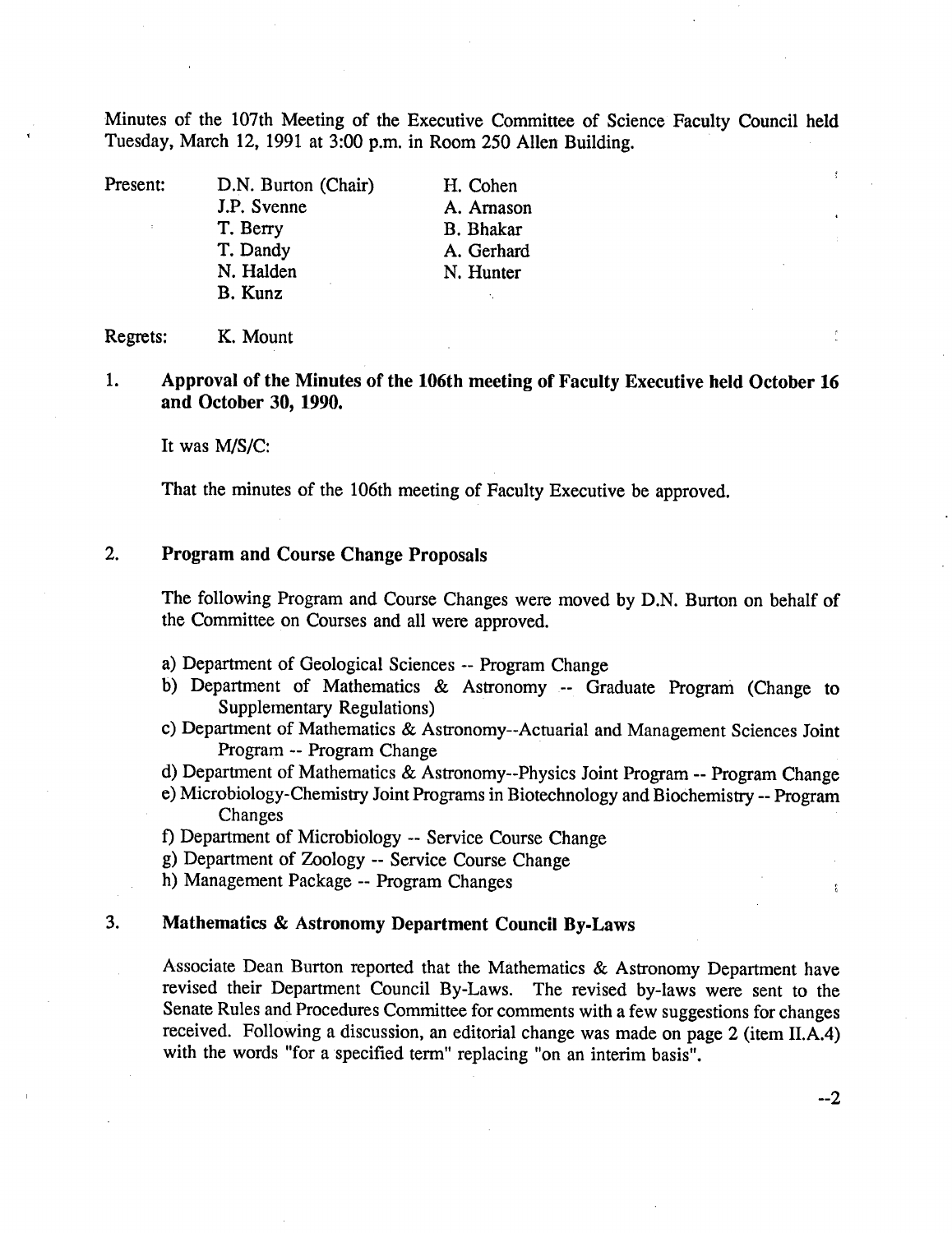Minutes of the 107th Meeting of the Executive Committee of Science Faculty Council held Tuesday, March 12, 1991 at 3:00 p.m. in Room *250* Allen Building.

Present: D.N. Burton (Chair) H. Cohen J.P. Svenne A. Arnason T. Berry B. Bhakar T. Dandy A. Gerhard<br>
N. Halden N. Hunter B. Kunz

N. Hunter

#### Regrets: K. Mount

1. **Approval of the Minutes of the 106th meeting of Faculty Executive held October 16 and October 30, 1990.** 

It was M/S/C:

That the minutes of the 106th meeting of Faculty Executive be approved.

## 2. **Program and Course Change Proposals**

The following Program and Course Changes were moved by D.N. Burton on behalf of the Committee on Courses and all were approved.

- Department of Geological Sciences -- Program Change
- b) Department of Mathematics & Astronomy -- Graduate Program (Change to Supplementary Regulations)
- Department of Mathematics & Astronomy--Actuarial and Management Sciences Joint Program -- Program Change
- Department of Mathematics & Astronomy--Physics Joint Program -- Program Change
- Microbiology-Chemistry Joint Programs in Biotechnology and Biochemistry -- Program Changes
- Department of Microbiology -- Service Course Change
- Department of Zoology -- Service Course Change
- h) Management Package -- Program Changes

### 3. **Mathematics & Astronomy Department Council By-Laws**

Associate Dean Burton reported that the Mathematics & Astronomy Department have revised their Department Council By-Laws. The revised by-laws were sent to the Senate Rules and Procedures Committee for comments with a few suggestions for changes received. Following a discussion, an editorial change was made on page 2 (item II.A.4) with the words "for a specified term" replacing "on an interim basis".

--2

 $\hat{t}$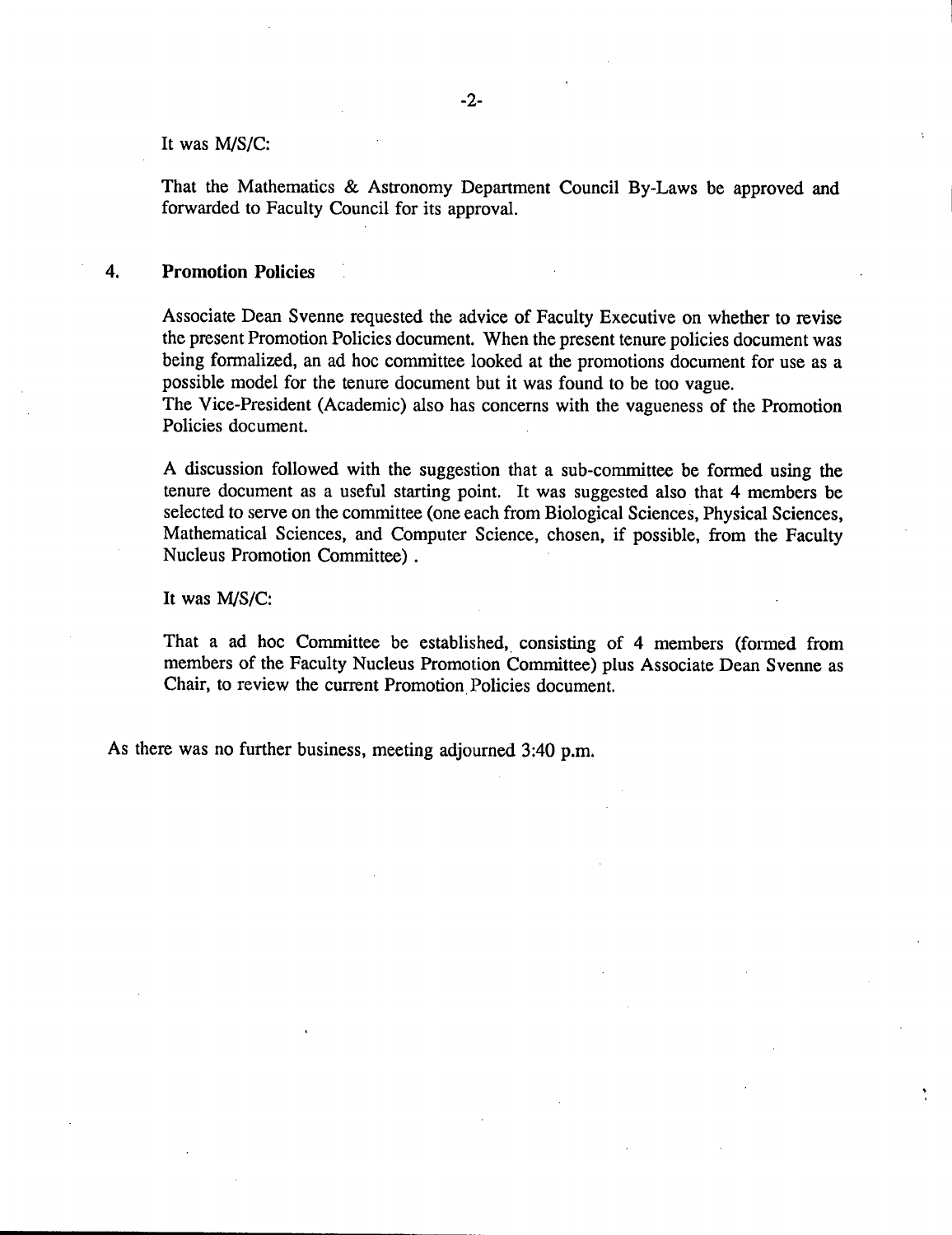#### It was M/S/C:

That the Mathematics & Astronomy Department Council By-Laws be approved and forwarded to Faculty Council for its approval.

#### 4. **Promotion Policies**

Associate Dean Svenne requested the advice of Faculty Executive on whether to revise the present Promotion Policies document. When the present tenure policies document was being formalized, an ad hoc committee looked at the promotions document for use as a possible model for the tenure document but it was found to be too vague.

The Vice-President (Academic) also has concerns with the vagueness of the Promotion Policies document.

A discussion followed with the suggestion that a sub-committee be formed using the tenure document as a useful starting point. It was suggested also that 4 members be selected to serve on the committee (one each from Biological Sciences, Physical Sciences, Mathematical Sciences, and Computer Science, chosen, if possible, from the Faculty Nucleus Promotion Committee).

It was *MIS/C:* 

That a ad hoc Committee be established, consisting of 4 members (formed from members of the Faculty Nucleus Promotion Committee) plus Associate Dean Svenne as Chair, to review the current Promotion Policies document.

As there was no further business, meeting adjourned 3:40 p.m.